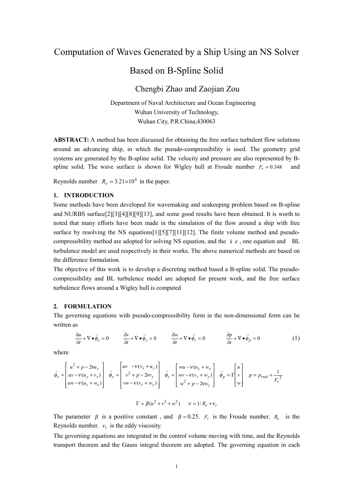# Computation of Waves Generated by a Ship Using an NS Solver

## Based on B-Spline Solid

## Chengbi Zhao and Zaojian Zou

Department of Naval Architecture and Ocean Engineering Wuhan University of Technology, Wuhan City, P.R.China,430063

**ABSTRACT:** A method has been discussed for obtaining the free surface turbulent flow solutions around an advancing ship, in which the pseudo-compressibility is used. The geometry grid systems are generated by the B-spline solid. The velocity and pressure are also represented by Bspline solid. The wave surface is shown for Wigley hull at Froude number  $F<sub>r</sub> = 0.348$  and

Reynolds number  $R_e = 3.21 \times 10^6$  in the paper.

### **1. INTRODUCTION**

Some methods have been developed for wavemaking and seakeeping problem based on B-spline and NURBS surface[2][3][4][8][9][13], and some good results have been obtained. It is worth to noted that many efforts have been made in the simulation of the flow around a ship with free surface by resolving the NS equations[1][5][7][11][12]. The finite volume method and pseudocompressibility method are adopted for solving NS equation, and the *k* <sup>ε</sup> , one equation and BL turbulence model are used respectively in their works. The above numerical methods are based on the difference formulation.

The objective of this work is to develop a discreting method based a B-spline solid. The pseudocompressibility and BL turbulence model are adopted for present work, and the free surface turbulence flows around a Wigley hull is computed

#### **2. FORMULATION**

The governing equations with pseudo-compressibility form in the non-dimensional form can be written as

$$
\frac{\partial u}{\partial t} + \nabla \bullet \vec{\phi}_x = 0 \qquad \frac{\partial v}{\partial t} + \nabla \bullet \vec{\phi}_y = 0 \qquad \frac{\partial w}{\partial t} + \nabla \bullet \vec{\phi}_z = 0 \qquad \frac{\partial p}{\partial t} + \nabla \bullet \vec{\phi}_p = 0 \qquad (1)
$$

where

$$
\vec{\phi}_x = \begin{bmatrix} u^2 + p - 2vu_x \\ uv - v(u_y + v_x) \\ uw - v(u_z + w_x) \end{bmatrix} \quad \vec{\phi}_y = \begin{bmatrix} uv & -v(v_x + u_y) \\ v^2 + p - 2w_y \\ vw - v(v_z + w_y) \end{bmatrix} \quad \vec{\phi}_z = \begin{bmatrix} wu - v(u_z + w_x) \\ wv - v(v_z + w_y) \\ w^2 + p - 2vw_z \end{bmatrix} \quad \vec{\phi}_p = \Gamma \begin{bmatrix} u \\ v \\ w \end{bmatrix} \quad p = p_{real} + \frac{z}{F_r^2}
$$

$$
\Gamma = \beta(u^2 + v^2 + w^2) \qquad v = 1/R_e + v_t
$$

The parameter  $\beta$  is a positive constant, and  $\beta = 0.25$ .  $F_r$  is the Froude number.  $R_e$  is the Reynolds number.  $v_t$  is the eddy viscosity.

The governing equations are integrated in the control volume moving with time, and the Reynolds transport theorem and the Gauss integral theorem are adopted. The governing equation in each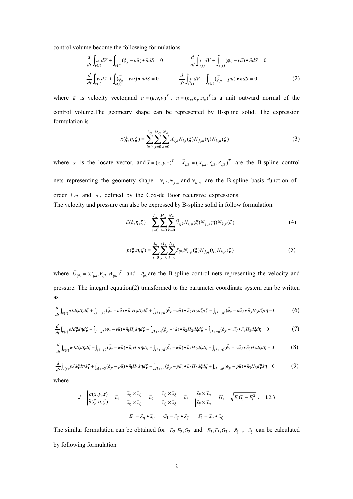control volume become the following formulations

$$
\frac{d}{dt} \int_{v(t)} u \, dV + \int_{s(t)} (\vec{\phi}_x - u\vec{u}) \bullet \vec{n} dS = 0
$$
\n
$$
\frac{d}{dt} \int_{v(t)} v \, dV + \int_{s(t)} (\vec{\phi}_y - v\vec{u}) \bullet \vec{n} dS = 0
$$
\n
$$
\frac{d}{dt} \int_{v(t)} w \, dV + \int_{s(t)} (\vec{\phi}_z - w\vec{u}) \bullet \vec{n} dS = 0
$$
\n
$$
\frac{d}{dt} \int_{v(t)} p \, dV + \int_{s(t)} (\vec{\phi}_p - p\vec{u}) \bullet \vec{n} dS = 0
$$
\n(2)

where *u* is velocity vector,and  $\vec{u} = (u, v, w)^T$ .  $\vec{n} = (n_x, n_y, n_z)^T$  is a unit outward normal of the control volume.The geometry shape can be represented by B-spline solid. The expression formulation is

$$
\vec{x}(\xi,\eta,\zeta) = \sum_{i=0}^{L_G} \sum_{j=0}^{M_G} \sum_{k=0}^{N_G} \vec{X}_{ijk} N_{i,l}(\xi) N_{j,m}(\eta) N_{k,n}(\zeta)
$$
\n(3)

where  $\vec{x}$  is the locate vector, and  $\vec{x} = (x, y, z)^T$ .  $\vec{X}_{ijk} = (X_{ijk}, Y_{ijk}, Z_{ijk})^T$  are the B-spline control nets representing the geometry shape.  $N_{i,l}$ ,  $N_{j,m}$  and  $N_{k,n}$  are the B-spline basis function of order *l,m* and *n*, defined by the Cox-de Boor recursive expressions. The velocity and pressure can also be expressed by B-spline solid in follow formulation.

$$
\vec{u}(\xi,\eta,\zeta) = \sum_{i=0}^{L_S} \sum_{j=0}^{M_S} \sum_{k=0}^{N_S} \vec{U}_{ijk} N_{i,p}(\xi) N_{j,q}(\eta) N_{k,r}(\zeta)
$$
(4)

$$
p(\xi, \eta, \zeta) = \sum_{i=0}^{L_S} \sum_{j=0}^{M_S} \sum_{k=0}^{N_S} P_{ijk} N_{i,p}(\xi) N_{j,q}(\eta) N_{k,r}(\zeta)
$$
(5)

where  $\vec{U}_{ijk} = (U_{ijk}, V_{ijk}, W_{ijk})^T$  and  $P_{ijk}$  are the B-spline control nets representing the velocity and pressure. The integral equation(2) transformed to the parameter coordinate system can be written as

$$
\frac{d}{dt}\int_{v(t)} uJd\xi d\eta d\zeta + \int_{s1+s2} (\vec{\phi}_x - u\vec{u}) \bullet \vec{n}_1 H_1 d\eta d\zeta + \int_{s3+s4} (\vec{\phi}_x - u\vec{u}) \bullet \vec{n}_2 H_2 d\xi d\zeta + \int_{s5+s6} (\vec{\phi}_x - u\vec{u}) \bullet \vec{n}_3 H_3 d\xi d\eta = 0
$$
 (6)

$$
\frac{d}{dt}\int_{\nu(t)}\nu J d\xi d\eta d\zeta + \int_{s1+s2}(\vec{\phi}_y - v\vec{u}) \bullet \vec{n}_1 H_1 d\eta d\zeta + \int_{s3+s4}(\vec{\phi}_y - v\vec{u}) \bullet \vec{n}_2 H_2 d\xi d\zeta + \int_{s5+s6}(\vec{\phi}_y - v\vec{u}) \bullet \vec{n}_3 H_3 d\xi d\eta = 0
$$
\n(7)

$$
\frac{d}{dt}\int_{v(t)} wJd\xi d\eta d\zeta + \int_{s1+s2} (\vec{\phi}_z - w\vec{u}) \bullet \vec{n}_1 H_1 d\eta d\zeta + \int_{s3+s4} (\vec{\phi}_z - w\vec{u}) \bullet \vec{n}_2 H_2 d\xi d\zeta + \int_{s5+s6} (\vec{\phi}_z - w\vec{u}) \bullet \vec{n}_3 H_3 d\xi d\eta = 0
$$
\n(8)

$$
\frac{d}{dt}\int_{v(t)} pJd\xi d\eta d\zeta + \int_{s1+s2} (\vec{\phi}_p - p\vec{u}) \bullet \vec{n}_1 H_1 d\eta d\zeta + \int_{s3+s4} (\vec{\phi}_p - p\vec{u}) \bullet \vec{n}_2 H_2 d\xi d\zeta + \int_{s5+s6} (\vec{\phi}_p - p\vec{u}) \bullet \vec{n}_3 H_3 d\xi d\eta = 0
$$
\n(9)

where

$$
J = \left| \frac{\partial(x, y, z)}{\partial(\xi, \eta, \zeta)} \right| \quad \vec{n}_1 = \frac{\vec{x}_\eta \times \vec{x}_\zeta}{\left| \vec{x}_\eta \times \vec{x}_\zeta \right|} \quad \vec{n}_2 = \frac{\vec{x}_\zeta \times \vec{x}_\xi}{\left| \vec{x}_\zeta \times \vec{x}_\xi \right|} \quad \vec{n}_3 = \frac{\vec{x}_\zeta \times \vec{x}_\eta}{\left| \vec{x}_\zeta \times \vec{x}_\eta \right|} \quad H_i = \sqrt{E_i G_i - F_i^2}, i = 1, 2, 3
$$

$$
E_1 = \vec{x}_\eta \bullet \vec{x}_\eta \qquad G_1 = \vec{x}_\zeta \bullet \vec{x}_\zeta \qquad F_1 = \vec{x}_\eta \bullet \vec{x}_\zeta
$$

The similar formulation can be obtained for  $E_2, F_2, G_2$  and  $E_3, F_3, G_3$ .  $\vec{x}_{\xi}$ ,  $\vec{u}_{\xi}$  can be calculated by following formulation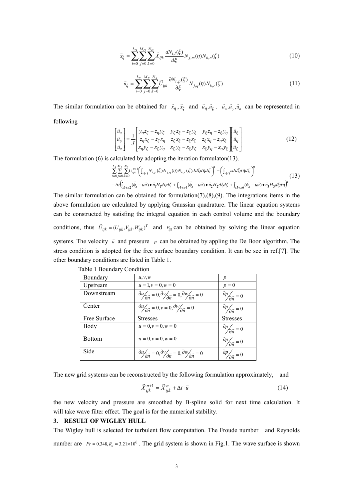$$
\vec{x}_{\xi} = \sum_{i=0}^{L_G} \sum_{j=0}^{M_G} \sum_{k=0}^{N_G} \vec{X}_{ijk} \frac{dN_{i,l}(\xi)}{d\xi} N_{j,m}(\eta) N_{k,n}(\zeta)
$$
(10)

$$
\vec{u}_{\xi} = \sum_{i=0}^{L_S} \sum_{j=0}^{M_S} \sum_{k=0}^{N_S} \vec{U}_{ijk} \frac{\partial N_{i,p}(\xi)}{\partial \xi} N_{j,q}(\eta) N_{k,r}(\zeta)
$$
(11)

The similar formulation can be obtained for  $\vec{x}_\eta$ ,  $\vec{x}_\zeta$  and  $\vec{u}_\eta$ ,  $\vec{u}_\zeta$ .  $\vec{u}_x$ ,  $\vec{u}_y$ ,  $\vec{u}_z$  can be represented in following

$$
\begin{bmatrix}\n\vec{u}_x \\
\vec{u}_y \\
\vec{u}_z\n\end{bmatrix} = \frac{1}{J} \begin{bmatrix}\ny_1 z_\zeta - z_\eta y_\zeta & y_\zeta z_\zeta - z_\zeta y_\xi & y_\zeta z_\eta - z_\zeta y_\eta \\
z_n x_\zeta - z_\zeta x_\eta & z_\zeta x_\zeta - z_\zeta x_\zeta & z_\zeta x_\eta - z_\eta x_\zeta \\
x_n y_\zeta - x_\zeta y_\eta & x_\zeta y_\zeta - x_\zeta y_\zeta & x_\zeta y_\eta - x_\eta y_\zeta\n\end{bmatrix} \begin{bmatrix}\n\vec{u}_\zeta \\
\vec{u}_\eta \\
\vec{u}_\zeta\n\end{bmatrix}
$$
\n(12)

The formulation (6) is calculated by adopting the iteration formulaton(13).

$$
\sum_{i=0}^{L_s} \sum_{j=0}^{M_s} \sum_{k=0}^{N_s} U_{ijk}^{n+1} \Big( \int_{\nu(t)} N_{i,p}(\xi) N_{j,q}(\eta) N_{k,r}(\zeta) J d\xi d\eta d\zeta \Big)^n = \Big( \int_{\nu(t)} uJ d\xi d\eta d\zeta \Big)^n \n- \Delta t \Big( \int_{s1+s2} (\vec{\phi}_x - u\vec{u}) \bullet \vec{n}_1 H_1 d\eta d\zeta + \int_{s3+s4} (\vec{\phi}_x - u\vec{u}) \bullet \vec{n}_2 H_2 d\xi d\zeta + \int_{s5+s6} (\vec{\phi}_x - u\vec{u}) \bullet \vec{n}_3 H_3 d\xi d\eta \Big)^n
$$
\n(13)

The similar formulation can be obtained for formulation(7),(8),(9). The integrations items in the above formulation are calculated by applying Gaussian quadrature. The linear equation systems can be constructed by satisfing the integral equation in each control volume and the boundary conditions, thus  $\vec{U}_{ijk} = (U_{ijk}, V_{ijk}, W_{ijk})^T$  and  $P_{ijk}$  can be obtained by solving the linear equation systems. The velocity  $\vec{u}$  and pressure  $\vec{p}$  can be obtained by appling the De Boor algorithm. The stress condition is adopted for the free surface boundary condition. It can be see in ref.[7]. The other boundary conditions are listed in Table 1.

| Boundary      | u, v, w                                                                                                                     | p                                         |
|---------------|-----------------------------------------------------------------------------------------------------------------------------|-------------------------------------------|
| Upstream      | $u = 1, v = 0, w = 0$                                                                                                       | $p=0$                                     |
| Downstream    | $\frac{\partial u}{\partial \vec{n}} = 0, \frac{\partial v}{\partial \vec{n}} = 0, \frac{\partial w}{\partial \vec{n}} = 0$ | $\frac{\partial p}{\partial \vec{n}} = 0$ |
| Center        | $\frac{\partial u}{\partial \vec{n}} = 0, v = 0, \frac{\partial w}{\partial \vec{n}} = 0$                                   | $\frac{\partial p}{\partial \vec{r}} = 0$ |
| Free Surface  | <b>Stresses</b>                                                                                                             | <b>Stresses</b>                           |
| Body          | $u = 0, v = 0, w = 0$                                                                                                       | $\frac{\partial p}{\partial \vec{n}} = 0$ |
| <b>Bottom</b> | $u = 0, v = 0, w = 0$                                                                                                       | $\frac{\partial p}{\partial \vec{n}} = 0$ |
| Side          | $\frac{\partial u}{\partial \vec{r}} = 0, \frac{\partial v}{\partial \vec{r}} = 0, \frac{\partial w}{\partial \vec{r}} = 0$ | $\frac{\partial p}{\partial \vec{n}} = 0$ |

|  | Table 1 Boundary Condition |  |
|--|----------------------------|--|
|--|----------------------------|--|

The new grid systems can be reconstructed by the following formulation approximately, and

$$
\vec{X}_{ijk}^{n+1} = \vec{X}_{ijk}^n + \Delta t \cdot \vec{u}
$$
\n(14)

the new velocity and pressure are smoothed by B-spline solid for next time calculation. It will take wave filter effect. The goal is for the numerical stability.

### **3. RESULT OF WIGLEY HULL**

The Wigley hull is selected for turbulent flow computation. The Froude number and Reynolds number are  $Fr = 0.348$ ,  $R_e = 3.21 \times 10^6$ . The grid system is shown in Fig.1. The wave surface is shown